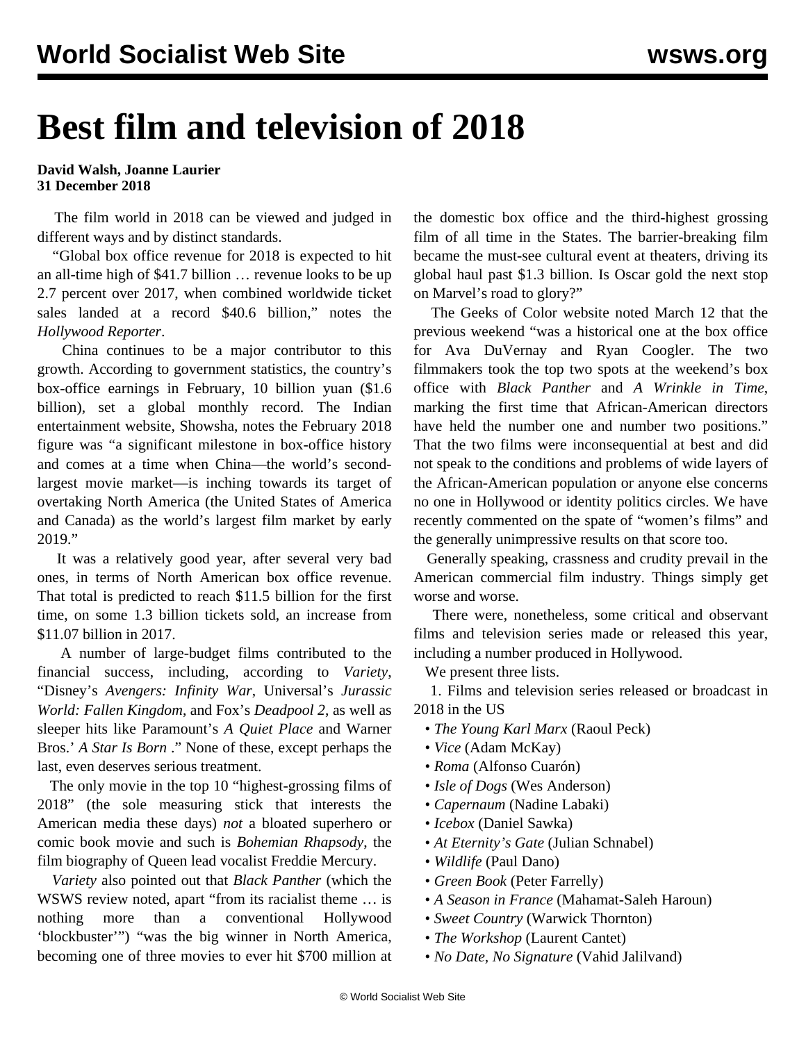## **Best film and television of 2018**

## **David Walsh, Joanne Laurier 31 December 2018**

 The film world in 2018 can be viewed and judged in different ways and by distinct standards.

 "Global box office revenue for 2018 is expected to hit an all-time high of \$41.7 billion … revenue looks to be up 2.7 percent over 2017, when combined worldwide ticket sales landed at a record \$40.6 billion," notes the *Hollywood Reporter*.

 China continues to be a major contributor to this growth. According to government statistics, the country's box-office earnings in February, 10 billion yuan (\$1.6 billion), set a global monthly record. The Indian entertainment website, Showsha, notes the February 2018 figure was "a significant milestone in box-office history and comes at a time when China—the world's secondlargest movie market—is inching towards its target of overtaking North America (the United States of America and Canada) as the world's largest film market by early 2019."

 It was a relatively good year, after several very bad ones, in terms of North American box office revenue. That total is predicted to reach \$11.5 billion for the first time, on some 1.3 billion tickets sold, an increase from \$11.07 billion in 2017.

 A number of large-budget films contributed to the financial success, including, according to *Variety*, "Disney's *Avengers: Infinity War*, Universal's *Jurassic World: Fallen Kingdom*, and Fox's *Deadpool 2*, as well as sleeper hits like Paramount's *A Quiet Place* and Warner Bros.' *A Star Is Born* ." None of these, except perhaps the last, even deserves serious treatment.

 The only movie in the top 10 "highest-grossing films of 2018" (the sole measuring stick that interests the American media these days) *not* a bloated superhero or comic book movie and such is *Bohemian Rhapsody*, the film biography of Queen lead vocalist Freddie Mercury.

 *Variety* also pointed out that *Black Panther* (which the WSWS review noted, apart "from its racialist theme … is nothing more than a conventional Hollywood 'blockbuster'") "was the big winner in North America, becoming one of three movies to ever hit \$700 million at

the domestic box office and the third-highest grossing film of all time in the States. The barrier-breaking film became the must-see cultural event at theaters, driving its global haul past \$1.3 billion. Is Oscar gold the next stop on Marvel's road to glory?"

 The Geeks of Color website noted March 12 that the previous weekend "was a historical one at the box office for Ava DuVernay and Ryan Coogler. The two filmmakers took the top two spots at the weekend's box office with *Black Panther* and *A Wrinkle in Time*, marking the first time that African-American directors have held the number one and number two positions." That the two films were inconsequential at best and did not speak to the conditions and problems of wide layers of the African-American population or anyone else concerns no one in Hollywood or identity politics circles. We have recently commented on the spate of "women's films" and the generally unimpressive results on that score too.

 Generally speaking, crassness and crudity prevail in the American commercial film industry. Things simply get worse and worse.

 There were, nonetheless, some critical and observant films and television series made or released this year, including a number produced in Hollywood.

We present three lists.

 1. Films and television series released or broadcast in 2018 in the US

- *The Young Karl Marx* (Raoul Peck)
- *Vice* (Adam McKay)
- *Roma* (Alfonso Cuarón)
- *Isle of Dogs* (Wes Anderson)
- *Capernaum* (Nadine Labaki)
- *Icebox* (Daniel Sawka)
- *At Eternity's Gate* (Julian Schnabel)
- *Wildlife* (Paul Dano)
- *Green Book* (Peter Farrelly)
- *A Season in France* (Mahamat-Saleh Haroun)
- *Sweet Country* (Warwick Thornton)
- *The Workshop* (Laurent Cantet)
- *No Date, No Signature* (Vahid Jalilvand)